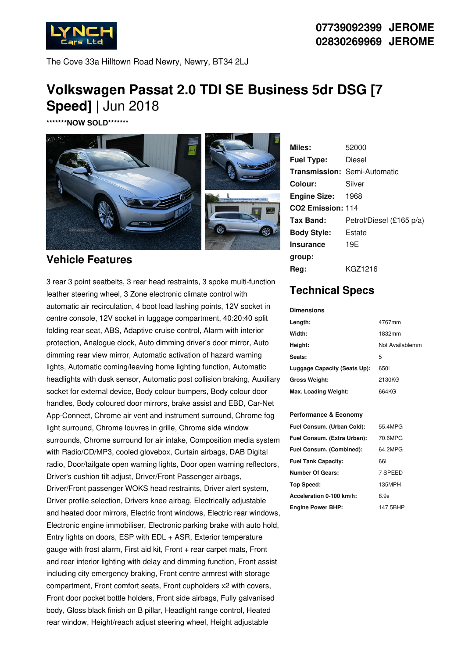

The Cove 33a Hilltown Road Newry, Newry, BT34 2LJ

## **Volkswagen Passat 2.0 TDI SE Business 5dr DSG [7 Speed]** | Jun 2018

**\*\*\*\*\*\*\*NOW SOLD\*\*\*\*\*\*\***



## **Vehicle Features**

3 rear 3 point seatbelts, 3 rear head restraints, 3 spoke multi-function leather steering wheel, 3 Zone electronic climate control with automatic air recirculation, 4 boot load lashing points, 12V socket in centre console, 12V socket in luggage compartment, 40:20:40 split folding rear seat, ABS, Adaptive cruise control, Alarm with interior protection, Analogue clock, Auto dimming driver's door mirror, Auto dimming rear view mirror, Automatic activation of hazard warning lights, Automatic coming/leaving home lighting function, Automatic headlights with dusk sensor, Automatic post collision braking, Auxiliary socket for external device, Body colour bumpers, Body colour door handles, Body coloured door mirrors, brake assist and EBD, Car-Net App-Connect, Chrome air vent and instrument surround, Chrome fog light surround, Chrome louvres in grille, Chrome side window surrounds, Chrome surround for air intake, Composition media system with Radio/CD/MP3, cooled glovebox, Curtain airbags, DAB Digital radio, Door/tailgate open warning lights, Door open warning reflectors, Driver's cushion tilt adjust, Driver/Front Passenger airbags, Driver/Front passenger WOKS head restraints, Driver alert system, Driver profile selection, Drivers knee airbag, Electrically adjustable and heated door mirrors, Electric front windows, Electric rear windows, Electronic engine immobiliser, Electronic parking brake with auto hold, Entry lights on doors, ESP with EDL + ASR, Exterior temperature gauge with frost alarm, First aid kit, Front + rear carpet mats, Front and rear interior lighting with delay and dimming function, Front assist including city emergency braking, Front centre armrest with storage compartment, Front comfort seats, Front cupholders x2 with covers, Front door pocket bottle holders, Front side airbags, Fully galvanised body, Gloss black finish on B pillar, Headlight range control, Heated rear window, Height/reach adjust steering wheel, Height adjustable

| Miles:                        | 52000                               |
|-------------------------------|-------------------------------------|
| <b>Fuel Type:</b>             | Diesel                              |
|                               | <b>Transmission: Semi-Automatic</b> |
| Colour:                       | Silver                              |
| <b>Engine Size:</b>           | 1968                                |
| CO <sub>2</sub> Emission: 114 |                                     |
| Tax Band:                     | Petrol/Diesel (£165 p/a)            |
| <b>Body Style:</b>            | Estate                              |
| <b>Insurance</b>              | 19E                                 |
| group:                        |                                     |
| Rea:                          | KGZ1216                             |

## **Technical Specs**

**Dimensions**

| <b>Dimensions</b>            |                 |
|------------------------------|-----------------|
| Length:                      | 4767mm          |
| Width:                       | 1832mm          |
| Height:                      | Not Availablemm |
| Seats:                       | 5               |
| Luggage Capacity (Seats Up): | 650L            |
| <b>Gross Weight:</b>         | 2130KG          |
| Max. Loading Weight:         | 664KG           |

## **Performance & Economy**

| Fuel Consum. (Urban Cold):  | 55.4MPG  |
|-----------------------------|----------|
| Fuel Consum. (Extra Urban): | 70.6MPG  |
| Fuel Consum. (Combined):    | 64.2MPG  |
| <b>Fuel Tank Capacity:</b>  | 66L      |
| <b>Number Of Gears:</b>     | 7 SPEED  |
| Top Speed:                  | 135MPH   |
| Acceleration 0-100 km/h:    | 8.9s     |
| <b>Engine Power BHP:</b>    | 147.5BHP |